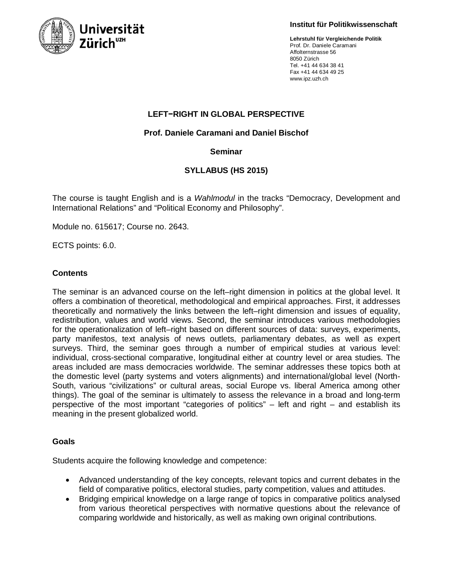

**Institut für Politikwissenschaft**

**Lehrstuhl für Vergleichende Politik** Prof. Dr. Daniele Caramani Affolternstrasse 56 8050 Zürich Tel. +41 44 634 38 41 Fax +41 44 634 49 25 www.ipz.uzh.ch

# **LEFT−RIGHT IN GLOBAL PERSPECTIVE**

# **Prof. Daniele Caramani and Daniel Bischof**

# **Seminar**

# **SYLLABUS (HS 2015)**

The course is taught English and is a *Wahlmodul* in the tracks "Democracy, Development and International Relations" and "Political Economy and Philosophy".

Module no. 615617; Course no. 2643.

ECTS points: 6.0.

## **Contents**

The seminar is an advanced course on the left–right dimension in politics at the global level. It offers a combination of theoretical, methodological and empirical approaches. First, it addresses theoretically and normatively the links between the left–right dimension and issues of equality, redistribution, values and world views. Second, the seminar introduces various methodologies for the operationalization of left–right based on different sources of data: surveys, experiments, party manifestos, text analysis of news outlets, parliamentary debates, as well as expert surveys. Third, the seminar goes through a number of empirical studies at various level: individual, cross-sectional comparative, longitudinal either at country level or area studies. The areas included are mass democracies worldwide. The seminar addresses these topics both at the domestic level (party systems and voters alignments) and international/global level (North-South, various "civilizations" or cultural areas, social Europe vs. liberal America among other things). The goal of the seminar is ultimately to assess the relevance in a broad and long-term perspective of the most important "categories of politics" – left and right – and establish its meaning in the present globalized world.

## **Goals**

Students acquire the following knowledge and competence:

- Advanced understanding of the key concepts, relevant topics and current debates in the field of comparative politics, electoral studies, party competition, values and attitudes.
- Bridging empirical knowledge on a large range of topics in comparative politics analysed from various theoretical perspectives with normative questions about the relevance of comparing worldwide and historically, as well as making own original contributions.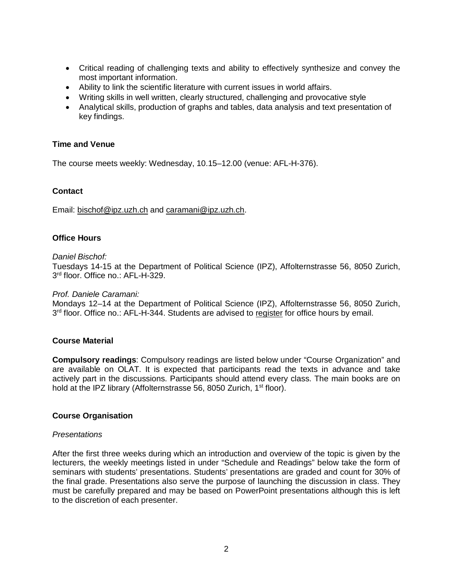- Critical reading of challenging texts and ability to effectively synthesize and convey the most important information.
- Ability to link the scientific literature with current issues in world affairs.
- Writing skills in well written, clearly structured, challenging and provocative style
- Analytical skills, production of graphs and tables, data analysis and text presentation of key findings.

## **Time and Venue**

The course meets weekly: Wednesday, 10.15–12.00 (venue: AFL-H-376).

## **Contact**

Email: bischof@ipz.uzh.ch and caramani@ipz.uzh.ch.

## **Office Hours**

### *Daniel Bischof:*

Tuesdays 14-15 at the Department of Political Science (IPZ), Affolternstrasse 56, 8050 Zurich, 3rd floor. Office no.: AFL-H-329.

### *Prof. Daniele Caramani:*

Mondays 12–14 at the Department of Political Science (IPZ), Affolternstrasse 56, 8050 Zurich, 3<sup>rd</sup> floor. Office no.: AFL-H-344. Students are advised to register for office hours by email.

## **Course Material**

**Compulsory readings**: Compulsory readings are listed below under "Course Organization" and are available on OLAT. It is expected that participants read the texts in advance and take actively part in the discussions. Participants should attend every class. The main books are on hold at the IPZ library (Affolternstrasse 56, 8050 Zurich, 1<sup>st</sup> floor).

### **Course Organisation**

### *Presentations*

After the first three weeks during which an introduction and overview of the topic is given by the lecturers, the weekly meetings listed in under "Schedule and Readings" below take the form of seminars with students' presentations. Students' presentations are graded and count for 30% of the final grade. Presentations also serve the purpose of launching the discussion in class. They must be carefully prepared and may be based on PowerPoint presentations although this is left to the discretion of each presenter.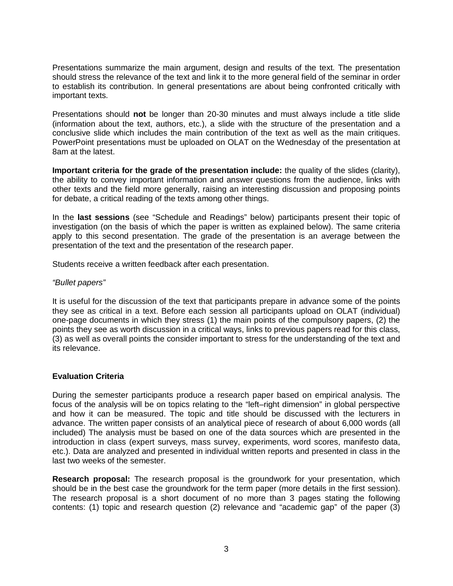Presentations summarize the main argument, design and results of the text. The presentation should stress the relevance of the text and link it to the more general field of the seminar in order to establish its contribution. In general presentations are about being confronted critically with important texts.

Presentations should **not** be longer than 20-30 minutes and must always include a title slide (information about the text, authors, etc.), a slide with the structure of the presentation and a conclusive slide which includes the main contribution of the text as well as the main critiques. PowerPoint presentations must be uploaded on OLAT on the Wednesday of the presentation at 8am at the latest.

**Important criteria for the grade of the presentation include:** the quality of the slides (clarity), the ability to convey important information and answer questions from the audience, links with other texts and the field more generally, raising an interesting discussion and proposing points for debate, a critical reading of the texts among other things.

In the **last sessions** (see "Schedule and Readings" below) participants present their topic of investigation (on the basis of which the paper is written as explained below). The same criteria apply to this second presentation. The grade of the presentation is an average between the presentation of the text and the presentation of the research paper.

Students receive a written feedback after each presentation.

## *"Bullet papers"*

It is useful for the discussion of the text that participants prepare in advance some of the points they see as critical in a text. Before each session all participants upload on OLAT (individual) one-page documents in which they stress (1) the main points of the compulsory papers, (2) the points they see as worth discussion in a critical ways, links to previous papers read for this class, (3) as well as overall points the consider important to stress for the understanding of the text and its relevance.

## **Evaluation Criteria**

During the semester participants produce a research paper based on empirical analysis. The focus of the analysis will be on topics relating to the "left–right dimension" in global perspective and how it can be measured. The topic and title should be discussed with the lecturers in advance. The written paper consists of an analytical piece of research of about 6,000 words (all included) The analysis must be based on one of the data sources which are presented in the introduction in class (expert surveys, mass survey, experiments, word scores, manifesto data, etc.). Data are analyzed and presented in individual written reports and presented in class in the last two weeks of the semester.

**Research proposal:** The research proposal is the groundwork for your presentation, which should be in the best case the groundwork for the term paper (more details in the first session). The research proposal is a short document of no more than 3 pages stating the following contents: (1) topic and research question (2) relevance and "academic gap" of the paper (3)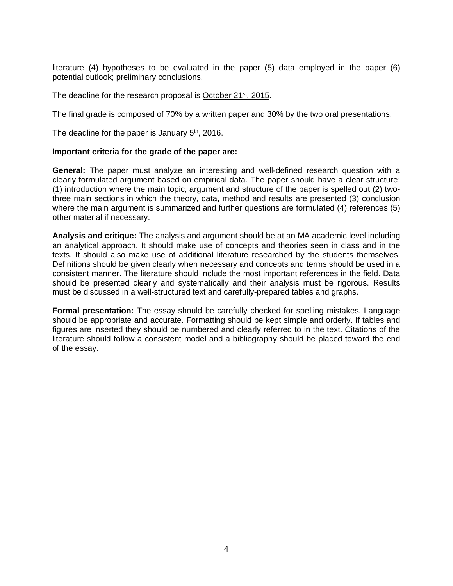literature (4) hypotheses to be evaluated in the paper (5) data employed in the paper (6) potential outlook; preliminary conclusions.

The deadline for the research proposal is October 21<sup>st</sup>, 2015.

The final grade is composed of 70% by a written paper and 30% by the two oral presentations.

The deadline for the paper is January  $5<sup>th</sup>$ , 2016.

### **Important criteria for the grade of the paper are:**

**General:** The paper must analyze an interesting and well-defined research question with a clearly formulated argument based on empirical data. The paper should have a clear structure: (1) introduction where the main topic, argument and structure of the paper is spelled out (2) twothree main sections in which the theory, data, method and results are presented (3) conclusion where the main argument is summarized and further questions are formulated (4) references (5) other material if necessary.

**Analysis and critique:** The analysis and argument should be at an MA academic level including an analytical approach. It should make use of concepts and theories seen in class and in the texts. It should also make use of additional literature researched by the students themselves. Definitions should be given clearly when necessary and concepts and terms should be used in a consistent manner. The literature should include the most important references in the field. Data should be presented clearly and systematically and their analysis must be rigorous. Results must be discussed in a well-structured text and carefully-prepared tables and graphs.

**Formal presentation:** The essay should be carefully checked for spelling mistakes. Language should be appropriate and accurate. Formatting should be kept simple and orderly. If tables and figures are inserted they should be numbered and clearly referred to in the text. Citations of the literature should follow a consistent model and a bibliography should be placed toward the end of the essay.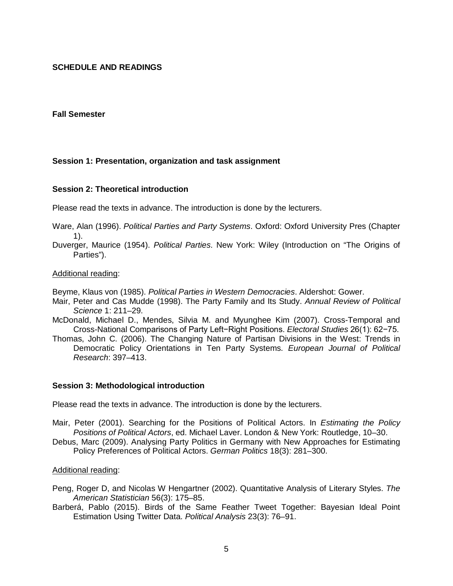## **SCHEDULE AND READINGS**

### **Fall Semester**

## **Session 1: Presentation, organization and task assignment**

### **Session 2: Theoretical introduction**

Please read the texts in advance. The introduction is done by the lecturers.

- Ware, Alan (1996). *Political Parties and Party Systems*. Oxford: Oxford University Pres (Chapter 1).
- Duverger, Maurice (1954). *Political Parties*. New York: Wiley (Introduction on "The Origins of Parties").

#### Additional reading:

Beyme, Klaus von (1985). *Political Parties in Western Democracies*. Aldershot: Gower.

- Mair, Peter and Cas Mudde (1998). The Party Family and Its Study. *Annual Review of Political Science* 1: 211–29.
- McDonald, Michael D., Mendes, Silvia M. and Myunghee Kim (2007). Cross-Temporal and Cross-National Comparisons of Party Left−Right Positions. *Electoral Studies* 26(1): 62−75.
- Thomas, John C. (2006). The Changing Nature of Partisan Divisions in the West: Trends in Democratic Policy Orientations in Ten Party Systems. *European Journal of Political Research*: 397–413.

#### **Session 3: Methodological introduction**

Please read the texts in advance. The introduction is done by the lecturers.

- Mair, Peter (2001). Searching for the Positions of Political Actors. In *Estimating the Policy Positions of Political Actors*, ed. Michael Laver. London & New York: Routledge, 10–30.
- Debus, Marc (2009). Analysing Party Politics in Germany with New Approaches for Estimating Policy Preferences of Political Actors. *German Politics* 18(3): 281–300.

#### Additional reading:

- Peng, Roger D, and Nicolas W Hengartner (2002). Quantitative Analysis of Literary Styles. *The American Statistician* 56(3): 175–85.
- Barberá, Pablo (2015). Birds of the Same Feather Tweet Together: Bayesian Ideal Point Estimation Using Twitter Data. *Political Analysis* 23(3): 76–91.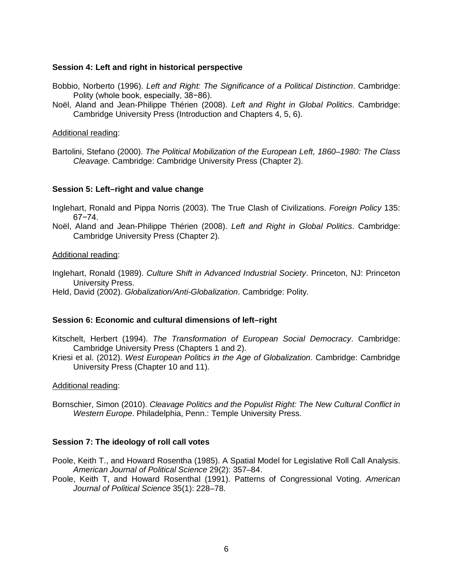## **Session 4: Left and right in historical perspective**

- Bobbio, Norberto (1996). *Left and Right: The Significance of a Political Distinction*. Cambridge: Polity (whole book, especially, 38−86).
- Noël, Aland and Jean-Philippe Thérien (2008). *Left and Right in Global Politics*. Cambridge: Cambridge University Press (Introduction and Chapters 4, 5, 6).

### Additional reading:

Bartolini, Stefano (2000). *The Political Mobilization of the European Left, 1860–1980: The Class Cleavage*. Cambridge: Cambridge University Press (Chapter 2).

## **Session 5: Left–right and value change**

Inglehart, Ronald and Pippa Norris (2003). The True Clash of Civilizations. *Foreign Policy* 135: 67−74.

Noël, Aland and Jean-Philippe Thérien (2008). *Left and Right in Global Politics*. Cambridge: Cambridge University Press (Chapter 2).

## Additional reading:

Inglehart, Ronald (1989). *Culture Shift in Advanced Industrial Society*. Princeton, NJ: Princeton University Press.

Held, David (2002). *Globalization/Anti-Globalization*. Cambridge: Polity.

### **Session 6: Economic and cultural dimensions of left–right**

Kitschelt, Herbert (1994). *The Transformation of European Social Democracy*. Cambridge: Cambridge University Press (Chapters 1 and 2).

Kriesi et al. (2012). *West European Politics in the Age of Globalization*. Cambridge: Cambridge University Press (Chapter 10 and 11).

### Additional reading:

Bornschier, Simon (2010). *Cleavage Politics and the Populist Right: The New Cultural Conflict in Western Europe*. Philadelphia, Penn.: Temple University Press.

## **Session 7: The ideology of roll call votes**

- Poole, Keith T., and Howard Rosentha (1985). A Spatial Model for Legislative Roll Call Analysis. *American Journal of Political Science* 29(2): 357–84.
- Poole, Keith T, and Howard Rosenthal (1991). Patterns of Congressional Voting. *American Journal of Political Science* 35(1): 228–78.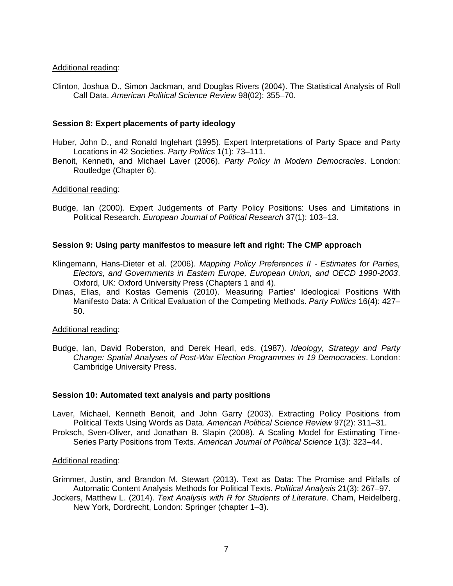### Additional reading:

Clinton, Joshua D., Simon Jackman, and Douglas Rivers (2004). The Statistical Analysis of Roll Call Data. *American Political Science Review* 98(02): 355–70.

## **Session 8: Expert placements of party ideology**

- Huber, John D., and Ronald Inglehart (1995). Expert Interpretations of Party Space and Party Locations in 42 Societies. *Party Politics* 1(1): 73–111.
- Benoit, Kenneth, and Michael Laver (2006). *Party Policy in Modern Democracies*. London: Routledge (Chapter 6).

## Additional reading:

Budge, Ian (2000). Expert Judgements of Party Policy Positions: Uses and Limitations in Political Research. *European Journal of Political Research* 37(1): 103–13.

## **Session 9: Using party manifestos to measure left and right: The CMP approach**

- Klingemann, Hans-Dieter et al. (2006). *Mapping Policy Preferences II - Estimates for Parties, Electors, and Governments in Eastern Europe, European Union, and OECD 1990-2003*. Oxford, UK: Oxford University Press (Chapters 1 and 4).
- Dinas, Elias, and Kostas Gemenis (2010). Measuring Parties' Ideological Positions With Manifesto Data: A Critical Evaluation of the Competing Methods. *Party Politics* 16(4): 427– 50.

### Additional reading:

Budge, Ian, David Roberston, and Derek Hearl, eds. (1987). *Ideology, Strategy and Party Change: Spatial Analyses of Post-War Election Programmes in 19 Democracies*. London: Cambridge University Press.

### **Session 10: Automated text analysis and party positions**

- Laver, Michael, Kenneth Benoit, and John Garry (2003). Extracting Policy Positions from Political Texts Using Words as Data. *American Political Science Review* 97(2): 311–31.
- Proksch, Sven-Oliver, and Jonathan B. Slapin (2008). A Scaling Model for Estimating Time-Series Party Positions from Texts. *American Journal of Political Science* 1(3): 323–44.

### Additional reading:

- Grimmer, Justin, and Brandon M. Stewart (2013). Text as Data: The Promise and Pitfalls of Automatic Content Analysis Methods for Political Texts. *Political Analysis* 21(3): 267–97.
- Jockers, Matthew L. (2014). *Text Analysis with R for Students of Literature*. Cham, Heidelberg, New York, Dordrecht, London: Springer (chapter 1–3).